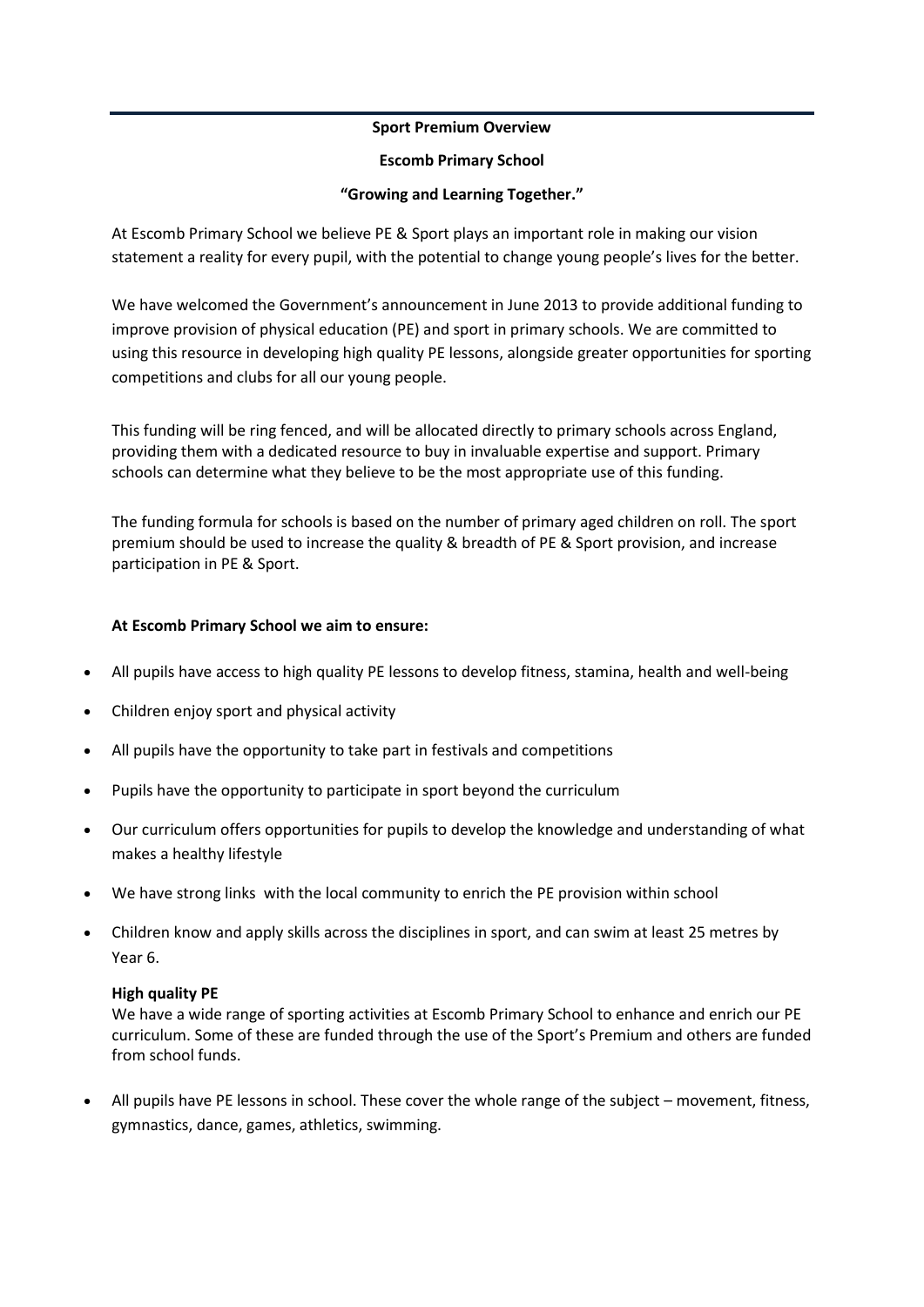### **Sport Premium Overview**

#### **Escomb Primary School**

# **"Growing and Learning Together."**

At Escomb Primary School we believe PE & Sport plays an important role in making our vision statement a reality for every pupil, with the potential to change young people's lives for the better.

We have welcomed the Government's announcement in June 2013 to provide additional funding to improve provision of physical education (PE) and sport in primary schools. We are committed to using this resource in developing high quality PE lessons, alongside greater opportunities for sporting competitions and clubs for all our young people.

This funding will be ring fenced, and will be allocated directly to primary schools across England, providing them with a dedicated resource to buy in invaluable expertise and support. Primary schools can determine what they believe to be the most appropriate use of this funding.

The funding formula for schools is based on the number of primary aged children on roll. The sport premium should be used to increase the quality & breadth of PE & Sport provision, and increase participation in PE & Sport.

## **At Escomb Primary School we aim to ensure:**

- All pupils have access to high quality PE lessons to develop fitness, stamina, health and well-being
- Children enjoy sport and physical activity
- All pupils have the opportunity to take part in festivals and competitions
- Pupils have the opportunity to participate in sport beyond the curriculum
- Our curriculum offers opportunities for pupils to develop the knowledge and understanding of what makes a healthy lifestyle
- We have strong links with the local community to enrich the PE provision within school
- Children know and apply skills across the disciplines in sport, and can swim at least 25 metres by Year 6.

## **High quality PE**

We have a wide range of sporting activities at Escomb Primary School to enhance and enrich our PE curriculum. Some of these are funded through the use of the Sport's Premium and others are funded from school funds.

 All pupils have PE lessons in school. These cover the whole range of the subject – movement, fitness, gymnastics, dance, games, athletics, swimming.